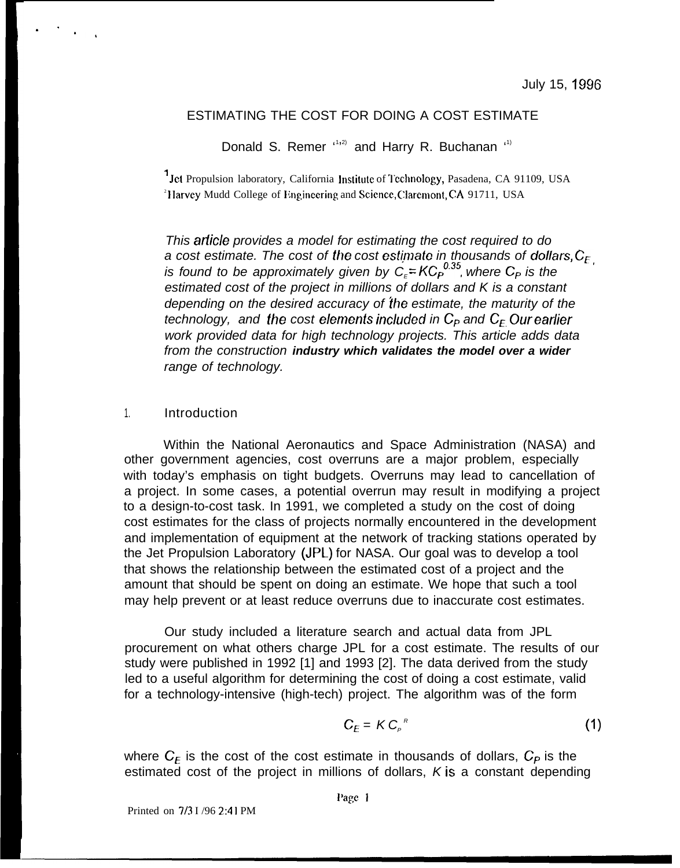## ESTIMATING THE COST FOR DOING A COST ESTIMATE

Donald S. Remer (1,2) and Harry R. Buchanan (1)

<sup>1</sup> Jet Propulsion laboratory, California Institute of Technology, Pasadena, CA 91109, USA <sup>2</sup>Harvey Mudd College of Impineering and Science, Claremont, CA 91711, USA

This arficle provides a model for estimating the cost required to do a cost estimate. The cost of the cost estimate in thousands of dollars,  $C_{E}$ is found to be approximately given by  $C_{\varepsilon}$ =KC<sub>P</sub><sup>0,35</sup>, where C<sub>P</sub> is the estimated cost of the project in millions of dollars and K is a constant depending on the desired accuracy of the estimate, the maturity of the technology, and the cost elements included in  $C_P$  and  $C_F$  Ourearlier work provided data for high technology projects. This article adds data from the construction **industry which validates the model over a wider** range of technology.

#### 1. Introduction

. .

.,

Within the National Aeronautics and Space Administration (NASA) and other government agencies, cost overruns are a major problem, especially with today's emphasis on tight budgets. Overruns may lead to cancellation of a project. In some cases, a potential overrun may result in modifying a project to a design-to-cost task. In 1991, we completed a study on the cost of doing cost estimates for the class of projects normally encountered in the development and implementation of equipment at the network of tracking stations operated by the Jet Propulsion Laboratory (JPL) for NASA. Our goal was to develop a tool that shows the relationship between the estimated cost of a project and the amount that should be spent on doing an estimate. We hope that such a tool may help prevent or at least reduce overruns due to inaccurate cost estimates.

Our study included a literature search and actual data from JPL procurement on what others charge JPL for a cost estimate. The results of our study were published in 1992 [1] and 1993 [2]. The data derived from the study led to a useful algorithm for determining the cost of doing a cost estimate, valid for a technology-intensive (high-tech) project. The algorithm was of the form

$$
C_E = K C_P^R \tag{1}
$$

where  $C_{E}$  is the cost of the cost estimate in thousands of dollars,  $C_{P}$  is the estimated cost of the project in millions of dollars,  $K$  is a constant depending

Printed on 7/3 I /96 2:41 PM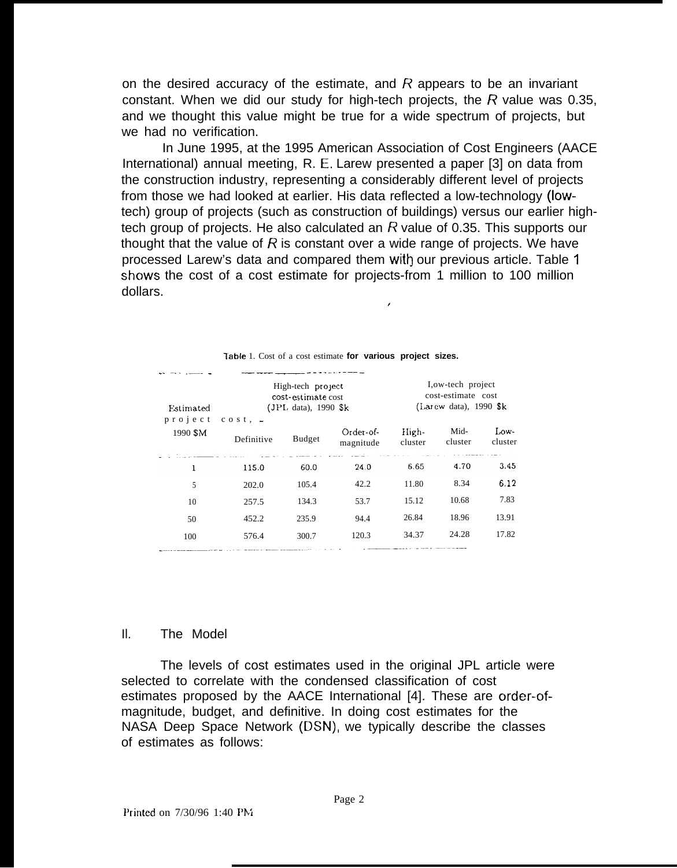on the desired accuracy of the estimate, and  *appears to be an invariant* constant. When we did our study for high-tech projects, the  $R$  value was 0.35, and we thought this value might be true for a wide spectrum of projects, but we had no verification.

In June 1995, at the 1995 American Association of Cost Engineers (AACE International) annual meeting, R. E, Larew presented a paper [3] on data from the construction industry, representing a considerably different level of projects from those we had looked at earlier. His data reflected a low-technology (lowtech) group of projects (such as construction of buildings) versus our earlier hightech group of projects. He also calculated an  $R$  value of 0.35. This supports our thought that the value of  $R$  is constant over a wide range of projects. We have processed Larew's data and compared them with our previous article. Table 1 shows the cost of a cost estimate for projects-from 1 million to 100 million dollars.

t

| Estimated                 | High-tech project<br>cost-estimate cost<br>$(JPI. data)$ , 1990 \$k |        |                        | I, ow-tech project<br>cost-estimate cost<br>(Larew data), $1990$ Sk |                 |                 |
|---------------------------|---------------------------------------------------------------------|--------|------------------------|---------------------------------------------------------------------|-----------------|-----------------|
| p r o j e c t<br>1990 \$M | $\cos t$ , $\frac{1}{2}$<br>Definitive                              | Budget | Order-of-<br>magnitude | High-<br>cluster                                                    | Mid-<br>cluster | Low-<br>cluster |
| ı                         | 115.0                                                               | 60.0   | 24.0                   | 6.65                                                                | 4.70            | 3.45            |
| 5                         | 202.0                                                               | 105.4  | 42.2                   | 11.80                                                               | 8.34            | 6.12            |
| 10                        | 257.5                                                               | 134.3  | 53.7                   | 15.12                                                               | 10.68           | 7.83            |
| 50                        | 452.2                                                               | 235.9  | 94.4                   | 26.84                                                               | 18.96           | 13.91           |
| 100                       | 576.4                                                               | 300.7  | 120.3                  | 34.37                                                               | 24.28           | 17.82           |

|  | Table 1. Cost of a cost estimate for various project sizes. |
|--|-------------------------------------------------------------|
|--|-------------------------------------------------------------|

#### Il. The Model

The levels of cost estimates used in the original JPL article were selected to correlate with the condensed classification of cost estimates proposed by the AACE International [4]. These are order-ofmagnitude, budget, and definitive. In doing cost estimates for the NASA Deep Space Network (DSN), we typically describe the classes of estimates as follows: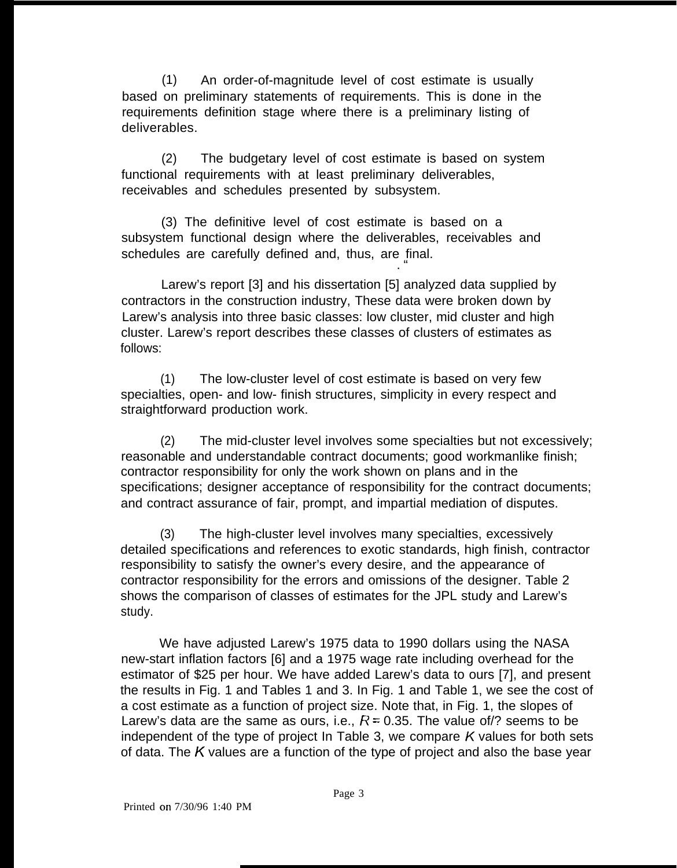(1) An order-of-magnitude level of cost estimate is usually based on preliminary statements of requirements. This is done in the requirements definition stage where there is a preliminary listing of deliverables.

(2) The budgetary level of cost estimate is based on system functional requirements with at least preliminary deliverables, receivables and schedules presented by subsystem.

(3) The definitive level of cost estimate is based on a subsystem functional design where the deliverables, receivables and schedules are carefully defined and, thus, are final. . "

Larew's report [3] and his dissertation [5] analyzed data supplied by contractors in the construction industry, These data were broken down by Larew's analysis into three basic classes: low cluster, mid cluster and high cluster. Larew's report describes these classes of clusters of estimates as follows:

(1) The low-cluster level of cost estimate is based on very few specialties, open- and low- finish structures, simplicity in every respect and straightforward production work.

(2) The mid-cluster level involves some specialties but not excessively; reasonable and understandable contract documents; good workmanlike finish; contractor responsibility for only the work shown on plans and in the specifications; designer acceptance of responsibility for the contract documents; and contract assurance of fair, prompt, and impartial mediation of disputes.

(3) The high-cluster level involves many specialties, excessively detailed specifications and references to exotic standards, high finish, contractor responsibility to satisfy the owner's every desire, and the appearance of contractor responsibility for the errors and omissions of the designer. Table 2 shows the comparison of classes of estimates for the JPL study and Larew's study.

We have adjusted Larew's 1975 data to 1990 dollars using the NASA new-start inflation factors [6] and a 1975 wage rate including overhead for the estimator of \$25 per hour. We have added Larew's data to ours [7], and present the results in Fig. 1 and Tables 1 and 3. In Fig. 1 and Table 1, we see the cost of a cost estimate as a function of project size. Note that, in Fig. 1, the slopes of Larew's data are the same as ours, i.e.,  $R = 0.35$ . The value of/? seems to be independent of the type of project In Table 3, we compare  $K$  values for both sets of data. The K values are a function of the type of project and also the base year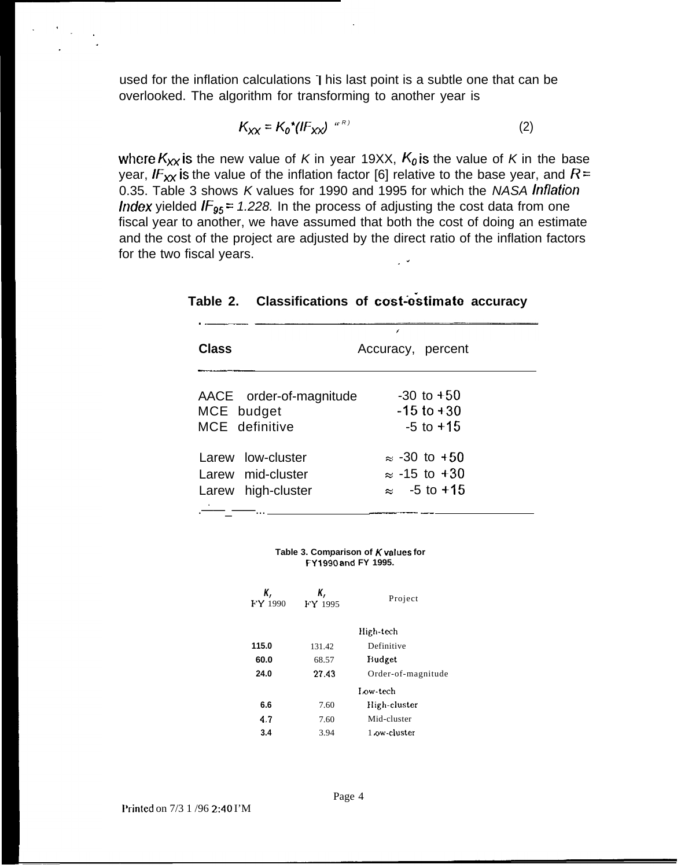used for the inflation calculations 1 his last point is a subtle one that can be overlooked. The algorithm for transforming to another year is

$$
K_{XX} = K_0^* (lF_{XX})^{(R)} \tag{2}
$$

where  $K_{XX}$  is the new value of K in year 19XX,  $K_0$  is the value of K in the base year, IF<sub>XX</sub> is the value of the inflation factor [6] relative to the base year, and R = 0.35. Table 3 shows K values for 1990 and 1995 for which the NASA Inflation *Index* yielded  $IF_{95} = 1.228$ . In the process of adjusting the cost data from one fiscal year to another, we have assumed that both the cost of doing an estimate and the cost of the project are adjusted by the direct ratio of the inflation factors for the two fiscal years.

|                                                              | 7                                                                   |  |
|--------------------------------------------------------------|---------------------------------------------------------------------|--|
| Class                                                        | Accuracy, percent                                                   |  |
| AACE order-of-magnitude<br>MCE budget<br>MCE definitive      | $-30$ to $+50$<br>$-15$ to $+30$<br>$-5$ to $+15$                   |  |
| Larew low-cluster<br>Larew mid-cluster<br>Larew high-cluster | $\approx$ -30 to +50<br>$\approx$ -15 to +30<br>$\approx$ -5 to +15 |  |

**Table 2. Classifications of cost-estimate accuracy** 

|  | Table 3. Comparison of $K$ values for |  |  |
|--|---------------------------------------|--|--|
|  | FY 1990 and FY 1995.                  |  |  |

| К,<br>FY 1990 | К,<br>FY 1995 | Project            |
|---------------|---------------|--------------------|
|               |               | High-tech          |
| 115.0         | 131.42        | Definitive         |
| 60.0          | 68.57         | Budget             |
| 24.0          | 27.43         | Order-of-magnitude |
|               |               | Low-tech           |
| 6.6           | 7.60          | High-cluster       |
| 4.7           | 7.60          | Mid-cluster        |
| 3.4           | 3.94          | 1 ow-cluster       |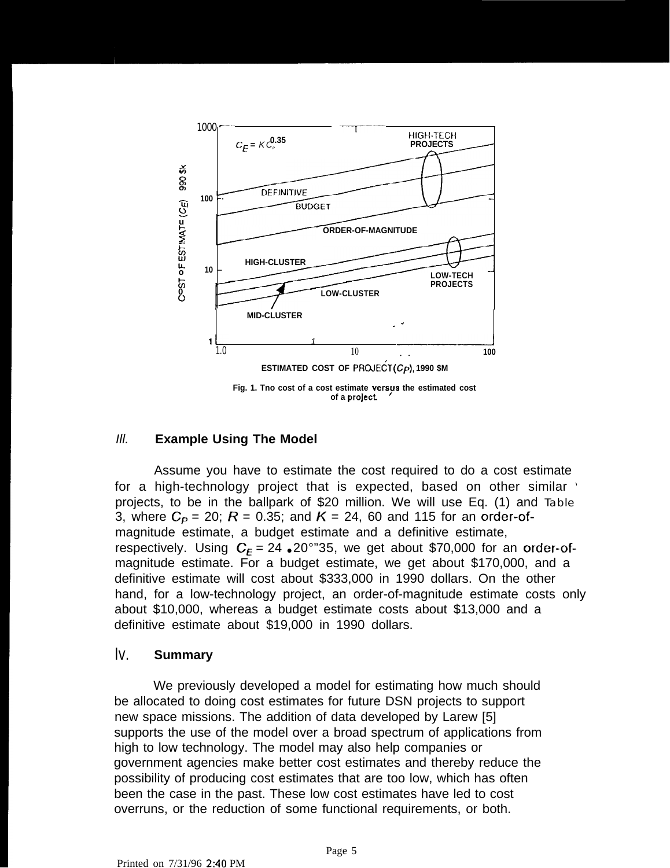

## Ill. **Example Using The Model**

Assume you have to estimate the cost required to do a cost estimate for a high-technology project that is expected, based on other similar ' projects, to be in the ballpark of \$20 million. We will use Eq. (1) and Table 3, where  $C_P = 20$ ;  $R = 0.35$ ; and  $K = 24$ , 60 and 115 for an order-ofmagnitude estimate, a budget estimate and a definitive estimate, respectively. Using  $C_F = 24 \cdot 20^{\circ}$  35, we get about \$70,000 for an order-ofmagnitude estimate. For a budget estimate, we get about \$170,000, and a definitive estimate will cost about \$333,000 in 1990 dollars. On the other hand, for a low-technology project, an order-of-magnitude estimate costs only about \$10,000, whereas a budget estimate costs about \$13,000 and a definitive estimate about \$19,000 in 1990 dollars.

## Iv. **Summary**

We previously developed a model for estimating how much should be allocated to doing cost estimates for future DSN projects to support new space missions. The addition of data developed by Larew [5] supports the use of the model over a broad spectrum of applications from high to low technology. The model may also help companies or government agencies make better cost estimates and thereby reduce the possibility of producing cost estimates that are too low, which has often been the case in the past. These low cost estimates have led to cost overruns, or the reduction of some functional requirements, or both.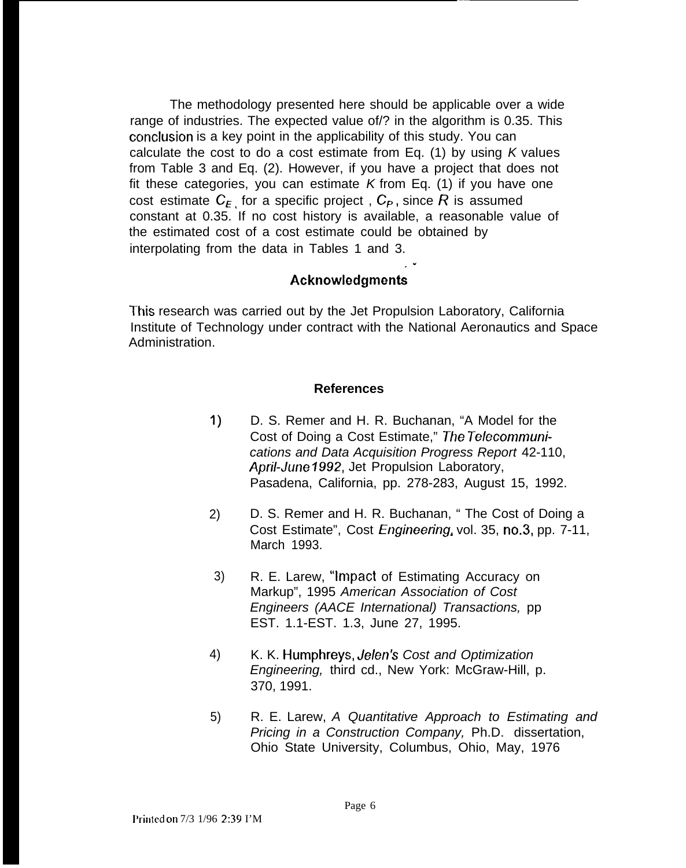The methodology presented here should be applicable over a wide range of industries. The expected value of/? in the algorithm is 0.35. This conclusion is a key point in the applicability of this study. You can calculate the cost to do a cost estimate from Eq. (1) by using  $K$  values from Table 3 and Eq. (2). However, if you have a project that does not fit these categories, you can estimate  $K$  from Eq. (1) if you have one cost estimate  $C_{F}$  for a specific project,  $C_{P}$ , since R is assumed constant at 0.35. If no cost history is available, a reasonable value of the estimated cost of a cost estimate could be obtained by interpolating from the data in Tables 1 and 3.

# $\Lambda$ cknowledgments

This research was carried out by the Jet Propulsion Laboratory, California Institute of Technology under contract with the National Aeronautics and Space Administration.

## **References**

- 1) D. S. Remer and H. R. Buchanan, "A Model for the Cost of Doing a Cost Estimate," The Telecommunications and Data Acquisition Progress Report 42-110, April-June 1992, Jet Propulsion Laboratory, Pasadena, California, pp. 278-283, August 15, 1992.
- 2) D. S. Remer and H. R. Buchanan, " The Cost of Doing a Cost Estimate", Cost Engineering, vol. 35, no.3, pp. 7-11, March 1993.
- 3) R. E. Larew, "Impact of Estimating Accuracy on Markup", 1995 American Association of Cost Engineers (AACE International) Transactions, pp EST. 1.1-EST. 1.3, June 27, 1995.
- 4) K. K. Humphreys, Je/en's Cost and Optimization Engineering, third cd., New York: McGraw-Hill, p. 370, 1991.
- 5) R. E. Larew, A Quantitative Approach to Estimating and Pricing in a Construction Company, Ph.D. dissertation, Ohio State University, Columbus, Ohio, May, 1976